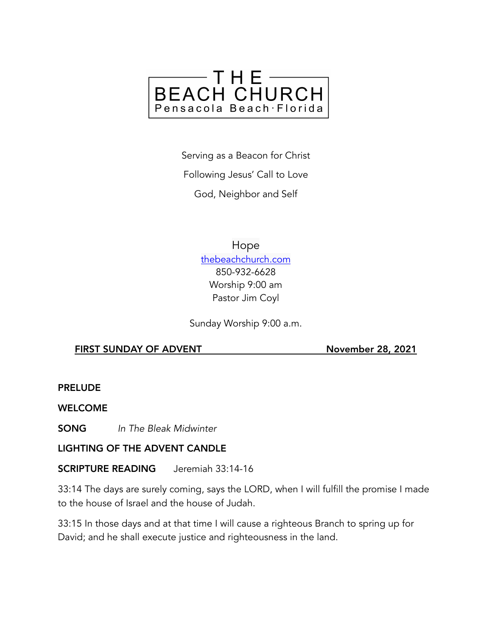

Serving as a Beacon for Christ Following Jesus' Call to Love God, Neighbor and Self

> Hope [thebeachchurch.com](http://thebeachchurch.com) 850-932-6628 Worship 9:00 am Pastor Jim Coyl

Sunday Worship 9:00 a.m.

## FIRST SUNDAY OF ADVENT November 28, 2021

PRELUDE

WELCOME

SONG *In The Bleak Midwinter* 

## LIGHTING OF THE ADVENT CANDLE

SCRIPTURE READING Jeremiah 33:14-16

33:14 The days are surely coming, says the LORD, when I will fulfill the promise I made to the house of Israel and the house of Judah.

33:15 In those days and at that time I will cause a righteous Branch to spring up for David; and he shall execute justice and righteousness in the land.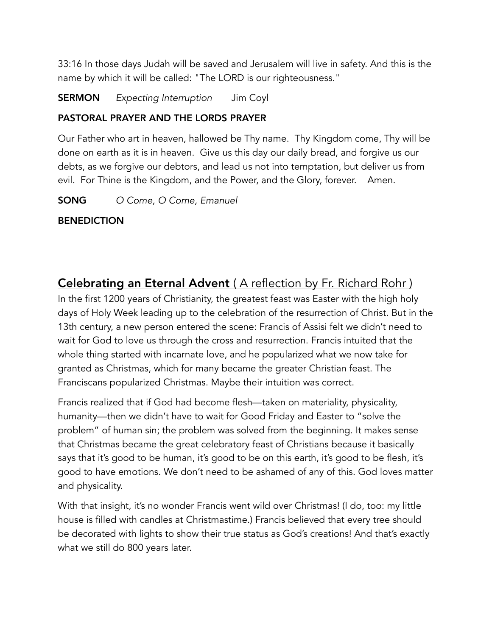33:16 In those days Judah will be saved and Jerusalem will live in safety. And this is the name by which it will be called: "The LORD is our righteousness."

SERMON *Expecting Interruption* Jim Coyl

# PASTORAL PRAYER AND THE LORDS PRAYER

Our Father who art in heaven, hallowed be Thy name. Thy Kingdom come, Thy will be done on earth as it is in heaven. Give us this day our daily bread, and forgive us our debts, as we forgive our debtors, and lead us not into temptation, but deliver us from evil. For Thine is the Kingdom, and the Power, and the Glory, forever. Amen.

SONG *O Come, O Come, Emanuel*

# **BENEDICTION**

# Celebrating an Eternal Advent ( A reflection by Fr. Richard Rohr )

In the first 1200 years of Christianity, the greatest feast was Easter with the high holy days of Holy Week leading up to the celebration of the resurrection of Christ. But in the 13th century, a new person entered the scene: Francis of Assisi felt we didn't need to wait for God to love us through the cross and resurrection. Francis intuited that the whole thing started with incarnate love, and he popularized what we now take for granted as Christmas, which for many became the greater Christian feast. The Franciscans popularized Christmas. Maybe their intuition was correct.

Francis realized that if God had become flesh—taken on materiality, physicality, humanity—then we didn't have to wait for Good Friday and Easter to "solve the problem" of human sin; the problem was solved from the beginning. It makes sense that Christmas became the great celebratory feast of Christians because it basically says that it's good to be human, it's good to be on this earth, it's good to be flesh, it's good to have emotions. We don't need to be ashamed of any of this. God loves matter and physicality.

With that insight, it's no wonder Francis went wild over Christmas! (I do, too: my little house is filled with candles at Christmastime.) Francis believed that every tree should be decorated with lights to show their true status as God's creations! And that's exactly what we still do 800 years later.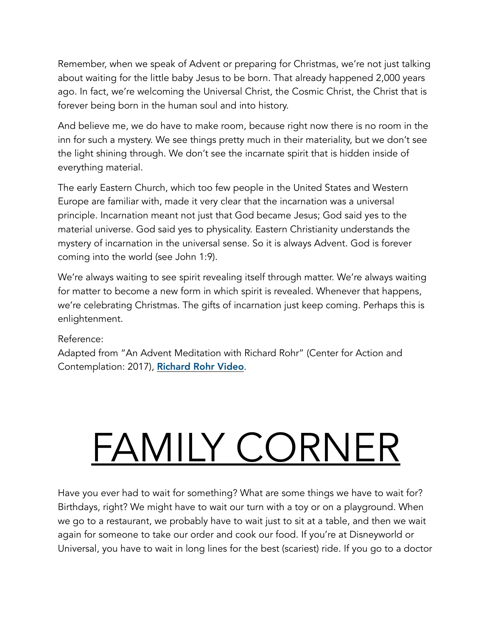Remember, when we speak of Advent or preparing for Christmas, we're not just talking about waiting for the little baby Jesus to be born. That already happened 2,000 years ago. In fact, we're welcoming the Universal Christ, the Cosmic Christ, the Christ that is forever being born in the human soul and into history.

And believe me, we do have to make room, because right now there is no room in the inn for such a mystery. We see things pretty much in their materiality, but we don't see the light shining through. We don't see the incarnate spirit that is hidden inside of everything material.

The early Eastern Church, which too few people in the United States and Western Europe are familiar with, made it very clear that the incarnation was a universal principle. Incarnation meant not just that God became Jesus; God said yes to the material universe. God said yes to physicality. Eastern Christianity understands the mystery of incarnation in the universal sense. So it is always Advent. God is forever coming into the world (see John 1:9).

We're always waiting to see spirit revealing itself through matter. We're always waiting for matter to become a new form in which spirit is revealed. Whenever that happens, we're celebrating Christmas. The gifts of incarnation just keep coming. Perhaps this is enlightenment.

## Reference:

Adapted from "An Advent Meditation with Richard Rohr" (Center for Action and Contemplation: 2017), [Richard Rohr Video](https://vimeo.com/246331333).

# FAMILY CORNER

Have you ever had to wait for something? What are some things we have to wait for? Birthdays, right? We might have to wait our turn with a toy or on a playground. When we go to a restaurant, we probably have to wait just to sit at a table, and then we wait again for someone to take our order and cook our food. If you're at Disneyworld or Universal, you have to wait in long lines for the best (scariest) ride. If you go to a doctor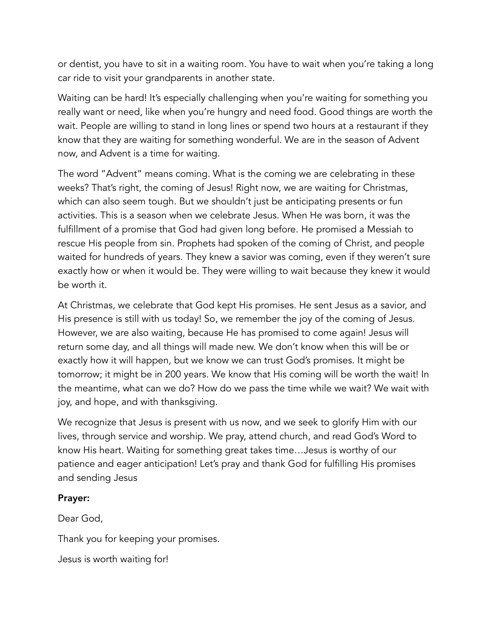or dentist, you have to sit in a waiting room. You have to wait when you're taking a long car ride to visit your grandparents in another state.

Waiting can be hard! It's especially challenging when you're waiting for something you really want or need, like when you're hungry and need food. Good things are worth the wait. People are willing to stand in long lines or spend two hours at a restaurant if they know that they are waiting for something wonderful. We are in the season of Advent now, and Advent is a time for waiting.

The word "Advent" means coming. What is the coming we are celebrating in these weeks? That's right, the coming of Jesus! Right now, we are waiting for Christmas, which can also seem tough. But we shouldn't just be anticipating presents or fun activities. This is a season when we celebrate Jesus. When He was born, it was the fulfillment of a promise that God had given long before. He promised a Messiah to rescue His people from sin. Prophets had spoken of the coming of Christ, and people waited for hundreds of years. They knew a savior was coming, even if they weren't sure exactly how or when it would be. They were willing to wait because they knew it would be worth it.

At Christmas, we celebrate that God kept His promises. He sent Jesus as a savior, and His presence is still with us today! So, we remember the joy of the coming of Jesus. However, we are also waiting, because He has promised to come again! Jesus will return some day, and all things will made new. We don't know when this will be or exactly how it will happen, but we know we can trust God's promises. It might be tomorrow; it might be in 200 years. We know that His coming will be worth the wait! In the meantime, what can we do? How do we pass the time while we wait? We wait with joy, and hope, and with thanksgiving.

We recognize that Jesus is present with us now, and we seek to glorify Him with our lives, through service and worship. We pray, attend church, and read God's Word to know His heart. Waiting for something great takes time…Jesus is worthy of our patience and eager anticipation! Let's pray and thank God for fulfilling His promises and sending Jesus

## Prayer:

Dear God,

Thank you for keeping your promises.

Jesus is worth waiting for!